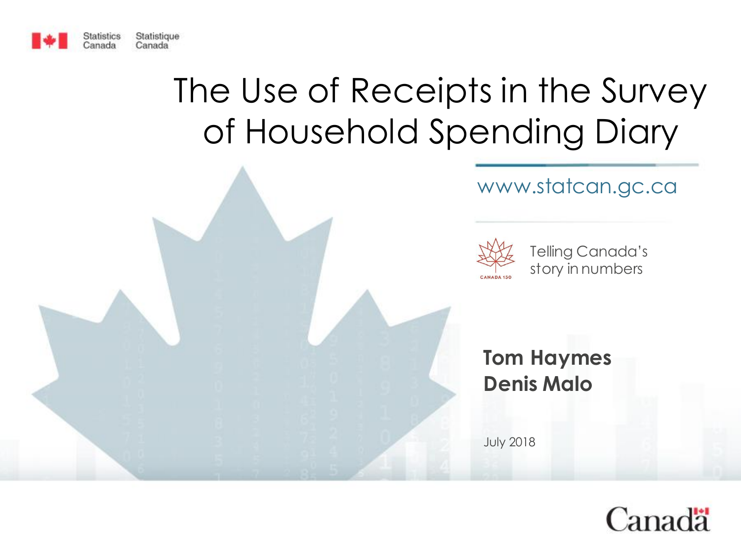

# The Use of Receipts in the Survey of Household Spending Diary





Telling Canada's story in numbers

### **Tom Haymes Denis Malo**

July 2018

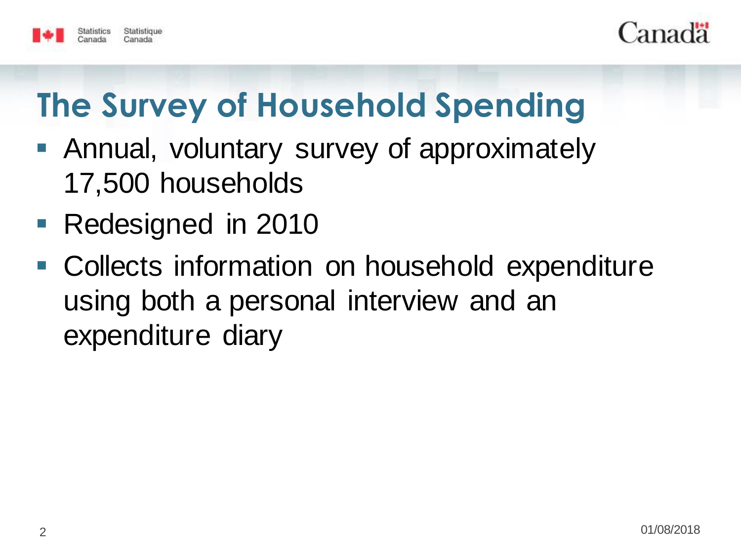



# **The Survey of Household Spending**

- Annual, voluntary survey of approximately 17,500 households
- Redesigned in 2010
- Collects information on household expenditure using both a personal interview and an expenditure diary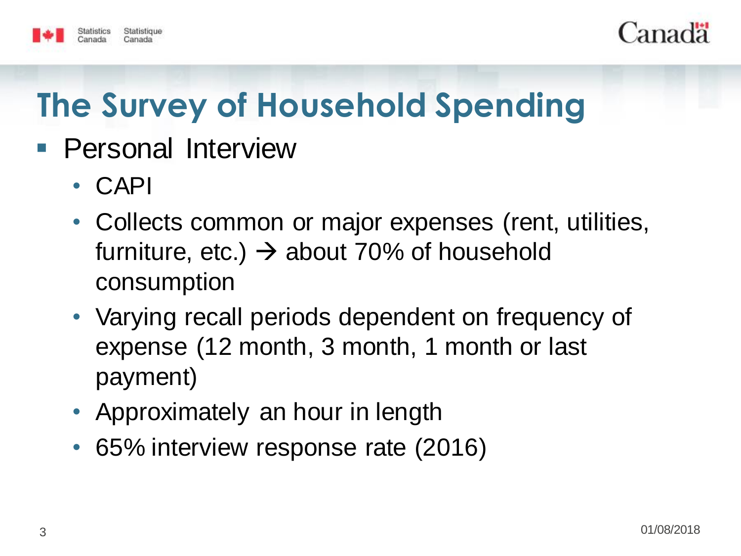

#### Statistique

# **The Survey of Household Spending**

- **Personal Interview** 
	- CAPI
	- Collects common or major expenses (rent, utilities, furniture, etc.)  $\rightarrow$  about 70% of household consumption
	- Varying recall periods dependent on frequency of expense (12 month, 3 month, 1 month or last payment)
	- Approximately an hour in length
	- 65% interview response rate (2016)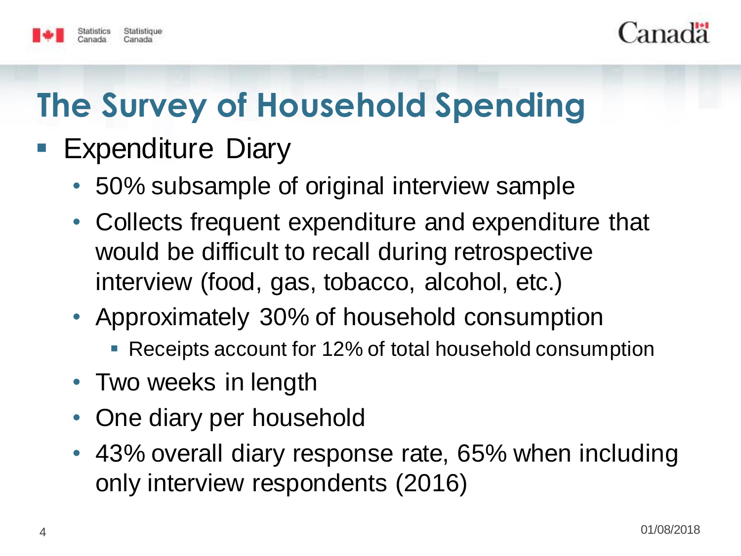



# **The Survey of Household Spending**

### **Expenditure Diary**

- 50% subsample of original interview sample
- Collects frequent expenditure and expenditure that would be difficult to recall during retrospective interview (food, gas, tobacco, alcohol, etc.)
- Approximately 30% of household consumption
	- Receipts account for 12% of total household consumption
- Two weeks in length
- One diary per household
- 43% overall diary response rate, 65% when including only interview respondents (2016)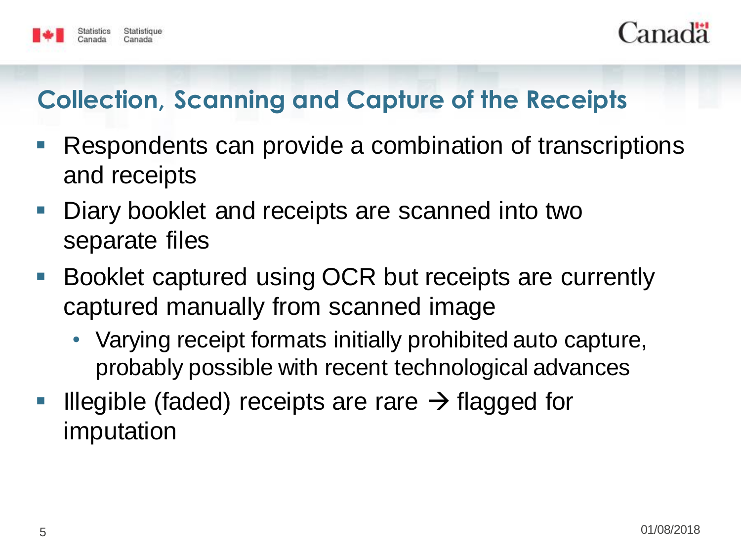



### **Collection, Scanning and Capture of the Receipts**

- Respondents can provide a combination of transcriptions and receipts
- Diary booklet and receipts are scanned into two separate files
- Booklet captured using OCR but receipts are currently captured manually from scanned image
	- Varying receipt formats initially prohibited auto capture, probably possible with recent technological advances
- Illegible (faded) receipts are rare  $\rightarrow$  flagged for imputation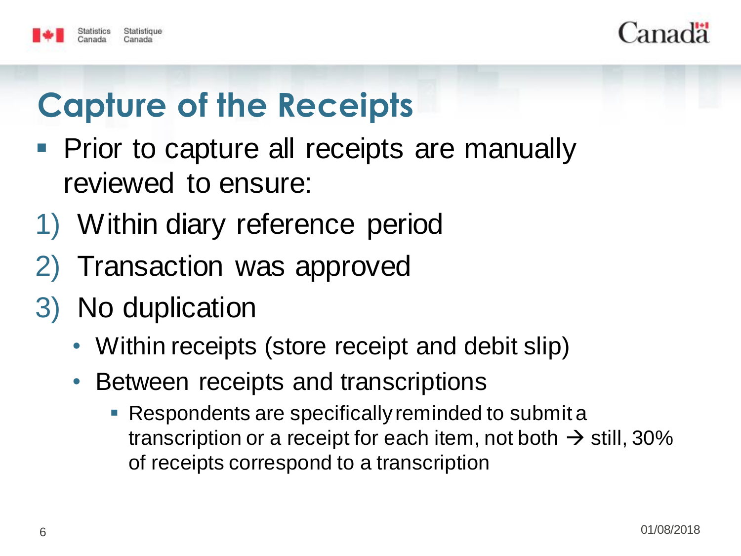



# **Capture of the Receipts**

- Prior to capture all receipts are manually reviewed to ensure:
- 1) Within diary reference period
- 2) Transaction was approved
- 3) No duplication
	- Within receipts (store receipt and debit slip)
	- Between receipts and transcriptions
		- **Respondents are specifically reminded to submit a** transcription or a receipt for each item, not both  $\rightarrow$  still, 30% of receipts correspond to a transcription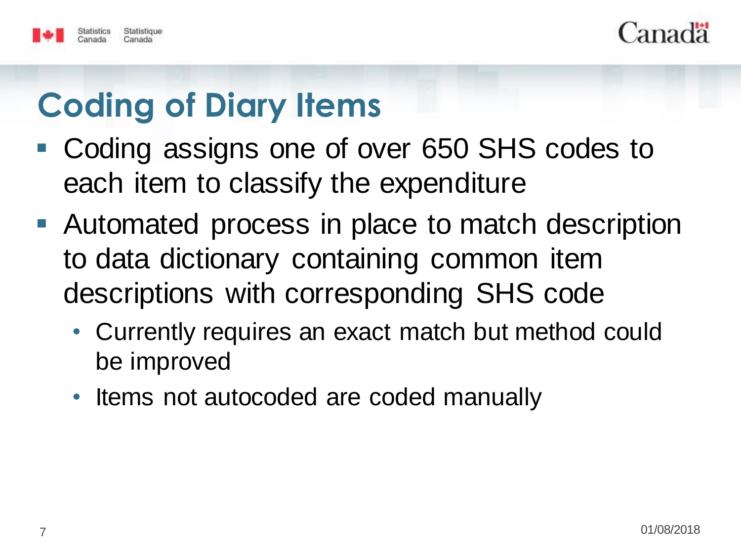



# **Coding of Diary Items**

- Coding assigns one of over 650 SHS codes to each item to classify the expenditure
- Automated process in place to match description to data dictionary containing common item descriptions with corresponding SHS code
	- Currently requires an exact match but method could be improved
	- Items not autocoded are coded manually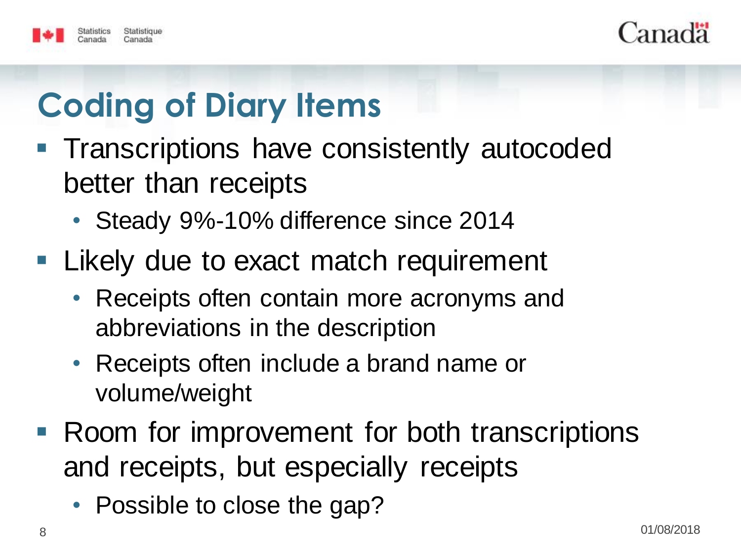



# **Coding of Diary Items**

- **Transcriptions have consistently autocoded** better than receipts
	- Steady 9%-10% difference since 2014
- **Likely due to exact match requirement** 
	- Receipts often contain more acronyms and abbreviations in the description
	- Receipts often include a brand name or volume/weight
- Room for improvement for both transcriptions and receipts, but especially receipts
	- Possible to close the gap?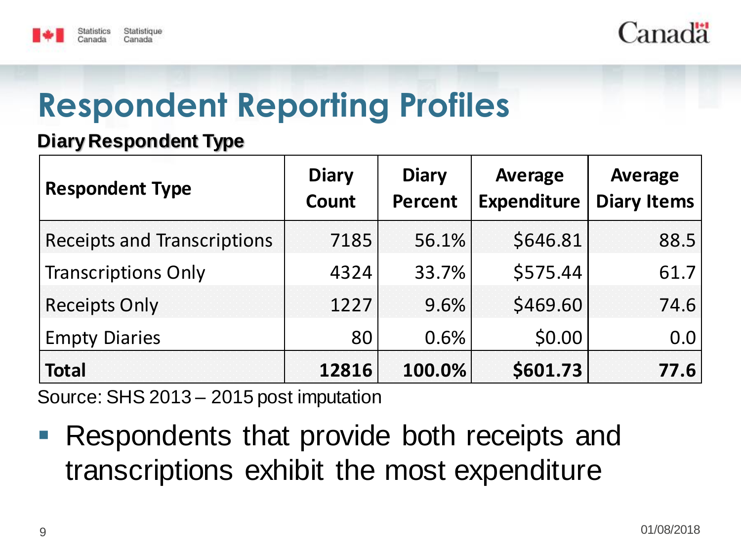



## **Respondent Reporting Profiles**

#### **Diary Respondent Type**

| <b>Respondent Type</b>             | <b>Diary</b><br>Count | <b>Diary</b><br><b>Percent</b> | Average<br><b>Expenditure</b> | Average<br><b>Diary Items</b> |
|------------------------------------|-----------------------|--------------------------------|-------------------------------|-------------------------------|
| <b>Receipts and Transcriptions</b> | 7185                  | 56.1%                          | \$646.81                      | 88.5                          |
| <b>Transcriptions Only</b>         | 4324                  | 33.7%                          | \$575.44                      | 61.7                          |
| <b>Receipts Only</b>               | 1227                  | 9.6%                           | \$469.60                      | 74.6                          |
| <b>Empty Diaries</b>               | 80                    | 0.6%                           | \$0.00                        | 0.0                           |
| <b>Total</b>                       | 12816                 | 100.0%                         | \$601.73                      | 77.6                          |

Source: SHS 2013 – 2015 post imputation

 Respondents that provide both receipts and transcriptions exhibit the most expenditure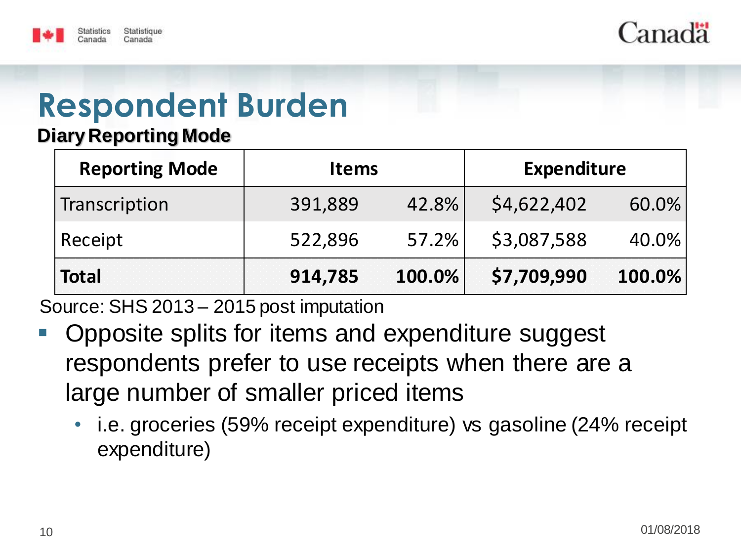



#### **Diary Reporting Mode**

| <b>Reporting Mode</b> | <b>Items</b> |        | <b>Expenditure</b> |          |
|-----------------------|--------------|--------|--------------------|----------|
| Transcription         | 391,889      | 42.8%  | \$4,622,402        | $60.0\%$ |
| Receipt               | 522,896      | 57.2%  | \$3,087,588        | $40.0\%$ |
| <b>Total</b>          | 914,785      | 100.0% | \$7,709,990        | 100.0%   |

- Opposite splits for items and expenditure suggest respondents prefer to use receipts when there are a large number of smaller priced items
	- i.e. groceries (59% receipt expenditure) vs gasoline (24% receipt expenditure)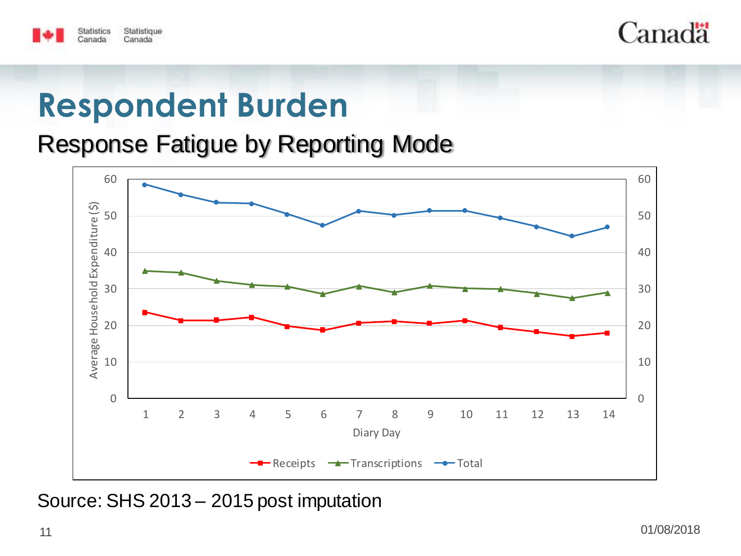



Response Fatigue by Reporting Mode

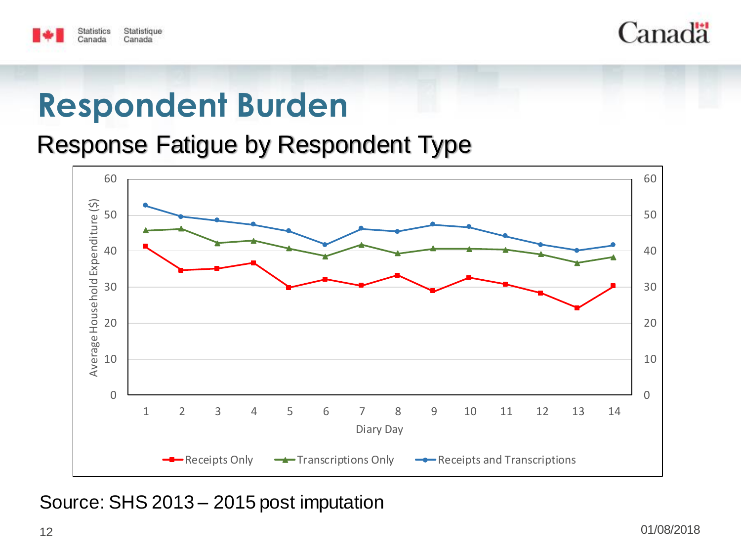



Response Fatigue by Respondent Type

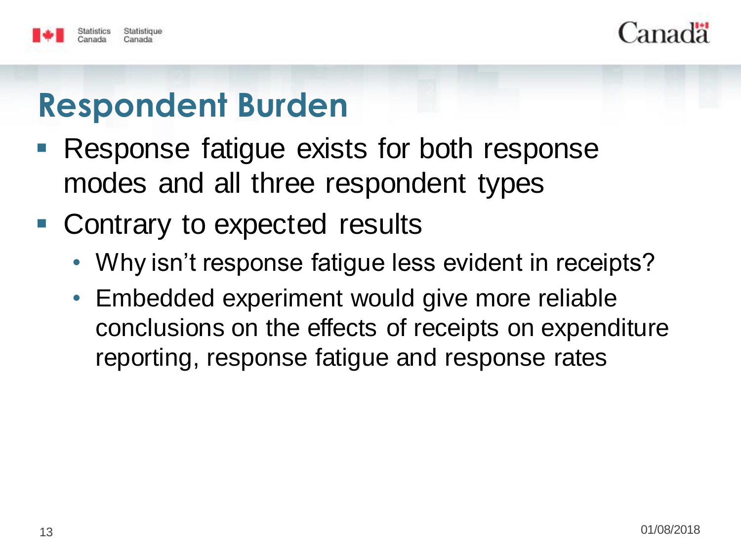



- **Response fatigue exists for both response** modes and all three respondent types
- Contrary to expected results
	- Why isn't response fatigue less evident in receipts?
	- Embedded experiment would give more reliable conclusions on the effects of receipts on expenditure reporting, response fatigue and response rates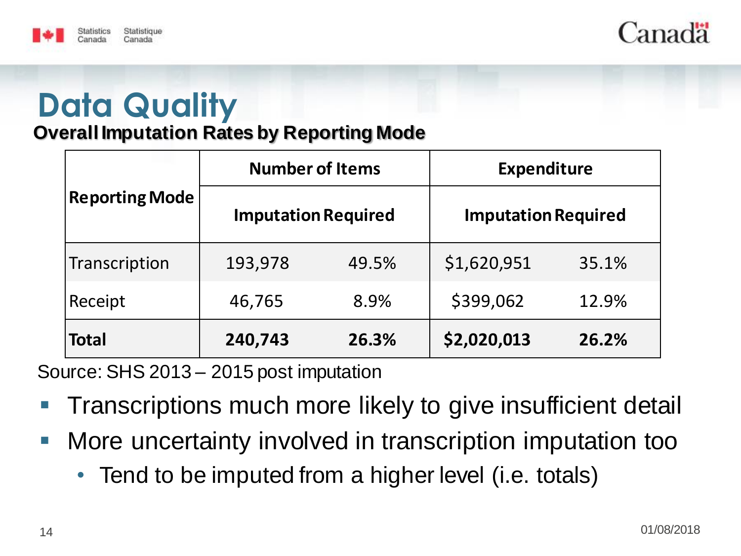



### **Data Quality Overall Imputation Rates by Reporting Mode**

| Reporting Mode | <b>Number of Items</b>     |       | <b>Expenditure</b>         |       |
|----------------|----------------------------|-------|----------------------------|-------|
|                | <b>Imputation Required</b> |       | <b>Imputation Required</b> |       |
| Transcription  | 193,978                    | 49.5% | \$1,620,951                | 35.1% |
| Receipt        | 46,765                     | 8.9%  | \$399,062                  | 12.9% |
| <b>Total</b>   | 240,743                    | 26.3% | \$2,020,013                | 26.2% |

- **Transcriptions much more likely to give insufficient detail**
- **More uncertainty involved in transcription imputation too** 
	- Tend to be imputed from a higher level (i.e. totals)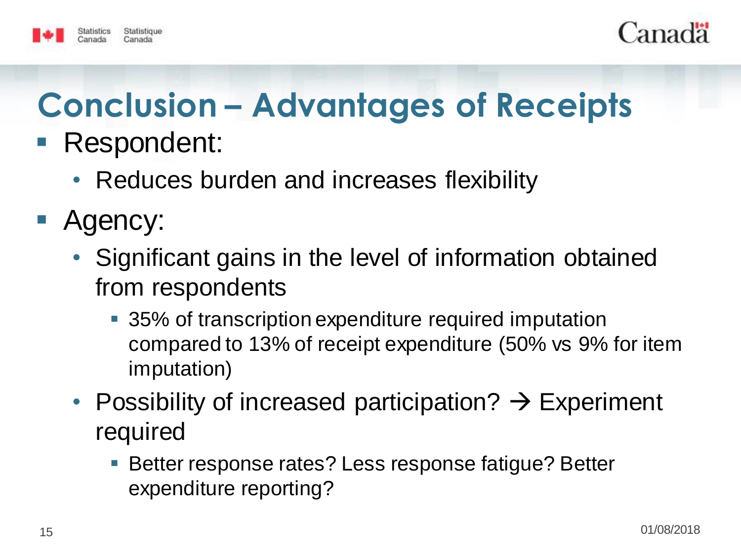



## **Conclusion – Advantages of Receipts** ■ Respondent:

- Reduces burden and increases flexibility
- Agency:
	- Significant gains in the level of information obtained from respondents
		- 35% of transcription expenditure required imputation compared to 13% of receipt expenditure (50% vs 9% for item imputation)
	- Possibility of increased participation?  $\rightarrow$  Experiment required
		- Better response rates? Less response fatigue? Better expenditure reporting?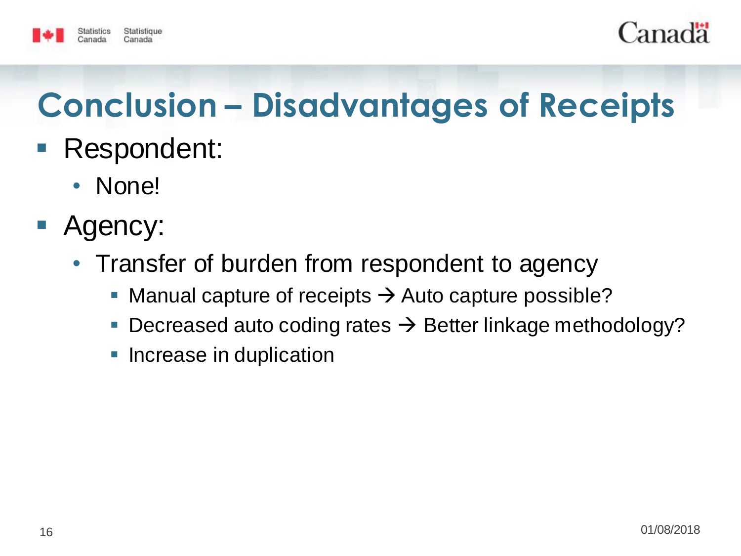



# **Conclusion – Disadvantages of Receipts**

- Respondent:
	- None!
- **Agency:** 
	- Transfer of burden from respondent to agency
		- Manual capture of receipts  $\rightarrow$  Auto capture possible?
		- Decreased auto coding rates  $\rightarrow$  Better linkage methodology?
		- Increase in duplication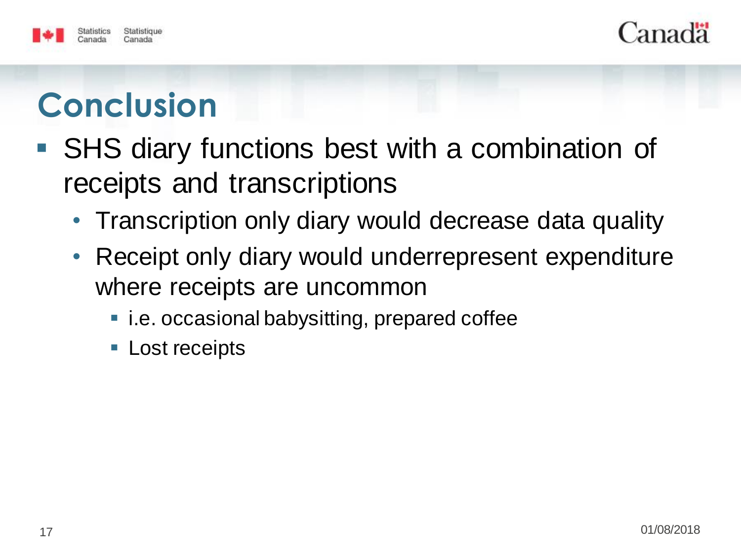



# **Conclusion**

- SHS diary functions best with a combination of receipts and transcriptions
	- Transcription only diary would decrease data quality
	- Receipt only diary would underrepresent expenditure where receipts are uncommon
		- i.e. occasional babysitting, prepared coffee
		- **Lost receipts**